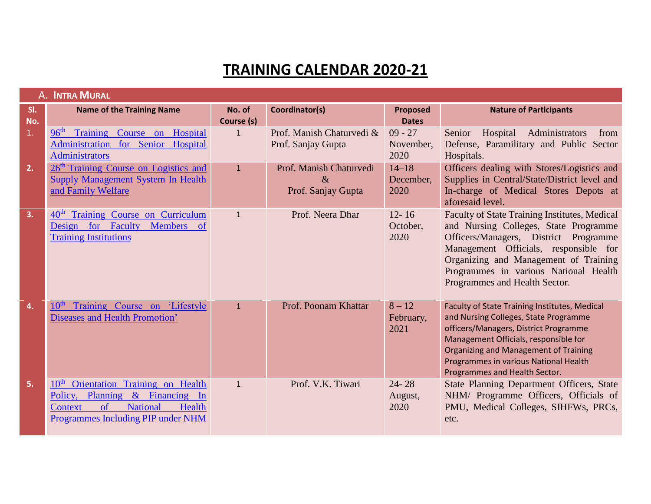## **TRAINING CALENDAR 2020-21**

|            | A. INTRA MURAL                                                                                                                                                                   |                      |                                                       |                                 |                                                                                                                                                                                                                                                                                                    |
|------------|----------------------------------------------------------------------------------------------------------------------------------------------------------------------------------|----------------------|-------------------------------------------------------|---------------------------------|----------------------------------------------------------------------------------------------------------------------------------------------------------------------------------------------------------------------------------------------------------------------------------------------------|
| SI.<br>No. | <b>Name of the Training Name</b>                                                                                                                                                 | No. of<br>Course (s) | Coordinator(s)                                        | <b>Proposed</b><br><b>Dates</b> | <b>Nature of Participants</b>                                                                                                                                                                                                                                                                      |
| 1.         | 96 <sup>th</sup><br>Training Course on Hospital<br>Administration for Senior Hospital<br><b>Administrators</b>                                                                   | $\mathbf{1}$         | Prof. Manish Chaturvedi &<br>Prof. Sanjay Gupta       | $09 - 27$<br>November,<br>2020  | Hospital<br>Administrators<br>Senior<br>from<br>Defense, Paramilitary and Public Sector<br>Hospitals.                                                                                                                                                                                              |
| 2.         | 26 <sup>th</sup> Training Course on Logistics and<br><b>Supply Management System In Health</b><br>and Family Welfare                                                             | $\mathbf{1}$         | Prof. Manish Chaturvedi<br>$\&$<br>Prof. Sanjay Gupta | $14 - 18$<br>December,<br>2020  | Officers dealing with Stores/Logistics and<br>Supplies in Central/State/District level and<br>In-charge of Medical Stores Depots at<br>aforesaid level.                                                                                                                                            |
| 3.         | Training Course on Curriculum<br>40 <sup>th</sup><br>Faculty<br>Members of<br>for<br>Design<br><b>Training Institutions</b>                                                      | $\mathbf{1}$         | Prof. Neera Dhar                                      | $12 - 16$<br>October,<br>2020   | <b>Faculty of State Training Institutes, Medical</b><br>and Nursing Colleges, State Programme<br>Officers/Managers, District Programme<br>Management Officials, responsible for<br>Organizing and Management of Training<br>Programmes in various National Health<br>Programmes and Health Sector. |
| 4.         | Training Course on 'Lifestyle<br>Diseases and Health Promotion'                                                                                                                  | $\mathbf{1}$         | Prof. Poonam Khattar                                  | $8 - 12$<br>February,<br>2021   | Faculty of State Training Institutes, Medical<br>and Nursing Colleges, State Programme<br>officers/Managers, District Programme<br>Management Officials, responsible for<br>Organizing and Management of Training<br>Programmes in various National Health<br>Programmes and Health Sector.        |
| 5.         | Orientation Training on Health<br>10 <sup>th</sup><br>Policy, Planning & Financing In<br><b>National</b><br>of<br>Health<br><b>Context</b><br>Programmes Including PIP under NHM | $\mathbf{1}$         | Prof. V.K. Tiwari                                     | $24 - 28$<br>August,<br>2020    | State Planning Department Officers, State<br>NHM/ Programme Officers, Officials of<br>PMU, Medical Colleges, SIHFWs, PRCs,<br>etc.                                                                                                                                                                 |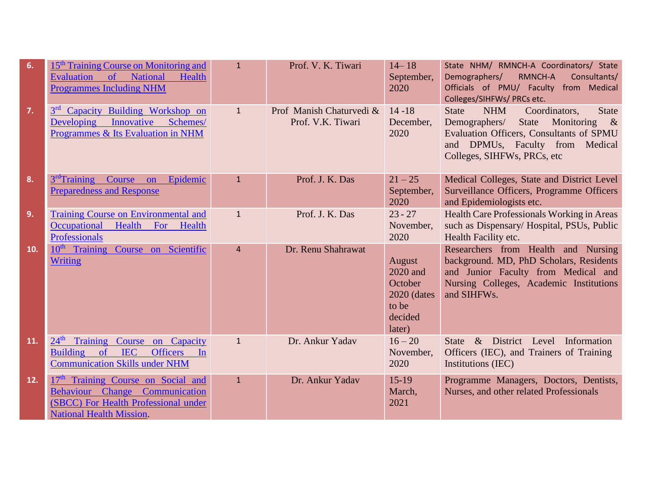| 6.  | 15 <sup>th</sup> Training Course on Monitoring and<br><b>National</b><br><b>Evaluation</b><br>$\circ$ of<br>Health<br><b>Programmes Including NHM</b> | $\mathbf{1}$   | Prof. V. K. Tiwari                            | $14 - 18$<br>September,<br>2020                                             | State NHM/ RMNCH-A Coordinators/ State<br>Demographers/<br>RMNCH-A<br>Consultants/<br>Officials of PMU/ Faculty from Medical<br>Colleges/SIHFWs/ PRCs etc.                                                                |
|-----|-------------------------------------------------------------------------------------------------------------------------------------------------------|----------------|-----------------------------------------------|-----------------------------------------------------------------------------|---------------------------------------------------------------------------------------------------------------------------------------------------------------------------------------------------------------------------|
| 7.  | Capacity Building Workshop on<br>Developing Innovative Schemes/<br>Programmes & Its Evaluation in NHM                                                 | $\mathbf{1}$   | Prof Manish Chaturvedi &<br>Prof. V.K. Tiwari | $14 - 18$<br>December,<br>2020                                              | <b>State</b><br>Coordinators,<br><b>State</b><br><b>NHM</b><br>Demographers/<br>State<br>Monitoring<br>$\&$<br>Evaluation Officers, Consultants of SPMU<br>and DPMUs, Faculty from Medical<br>Colleges, SIHFWs, PRCs, etc |
| 8.  | 3 <sup>rd</sup> Training Course on<br>Epidemic<br><b>Preparedness and Response</b>                                                                    | $\mathbf{1}$   | Prof. J. K. Das                               | $21 - 25$<br>September,<br>2020                                             | Medical Colleges, State and District Level<br>Surveillance Officers, Programme Officers<br>and Epidemiologists etc.                                                                                                       |
| 9.  | <b>Training Course on Environmental and</b><br>Occupational<br>Health For Health<br><b>Professionals</b>                                              | $\mathbf{1}$   | Prof. J. K. Das                               | $23 - 27$<br>November,<br>2020                                              | Health Care Professionals Working in Areas<br>such as Dispensary/ Hospital, PSUs, Public<br>Health Facility etc.                                                                                                          |
| 10. | 10 <sup>th</sup> Training Course on Scientific<br><b>Writing</b>                                                                                      | $\overline{4}$ | Dr. Renu Shahrawat                            | August<br>2020 and<br>October<br>2020 (dates)<br>to be<br>decided<br>later) | Researchers from Health and Nursing<br>background. MD, PhD Scholars, Residents<br>and Junior Faculty from Medical and<br>Nursing Colleges, Academic Institutions<br>and SIHFWs.                                           |
| 11. | 24 <sup>th</sup> Training Course on Capacity<br>Building of IEC<br>Officers In<br><b>Communication Skills under NHM</b>                               | $\mathbf{1}$   | Dr. Ankur Yadav                               | $16 - 20$<br>November,<br>2020                                              | & District Level Information<br><b>State</b><br>Officers (IEC), and Trainers of Training<br>Institutions (IEC)                                                                                                            |
| 12. | 17th Training Course on Social and<br>Behaviour Change Communication<br>(SBCC) For Health Professional under<br><b>National Health Mission.</b>       | $\mathbf{1}$   | Dr. Ankur Yadav                               | $15-19$<br>March,<br>2021                                                   | Programme Managers, Doctors, Dentists,<br>Nurses, and other related Professionals                                                                                                                                         |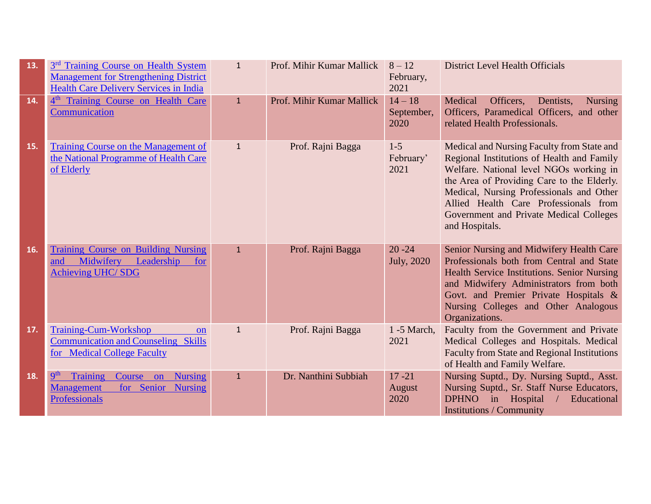| 13. | 3 <sup>rd</sup> Training Course on Health System<br><b>Management for Strengthening District</b><br><b>Health Care Delivery Services in India</b> | $\mathbf{1}$ | Prof. Mihir Kumar Mallick | $8 - 12$<br>February,<br>2021   | <b>District Level Health Officials</b>                                                                                                                                                                                                                                                                                              |
|-----|---------------------------------------------------------------------------------------------------------------------------------------------------|--------------|---------------------------|---------------------------------|-------------------------------------------------------------------------------------------------------------------------------------------------------------------------------------------------------------------------------------------------------------------------------------------------------------------------------------|
| 14. | 4 <sup>th</sup> Training Course on Health Care<br>Communication                                                                                   | $\mathbf{1}$ | Prof. Mihir Kumar Mallick | $14 - 18$<br>September,<br>2020 | Medical<br>Officers,<br>Dentists,<br><b>Nursing</b><br>Officers, Paramedical Officers, and other<br>related Health Professionals.                                                                                                                                                                                                   |
| 15. | Training Course on the Management of<br>the National Programme of Health Care<br>of Elderly                                                       | $\mathbf{1}$ | Prof. Rajni Bagga         | $1 - 5$<br>February'<br>2021    | Medical and Nursing Faculty from State and<br>Regional Institutions of Health and Family<br>Welfare. National level NGOs working in<br>the Area of Providing Care to the Elderly.<br>Medical, Nursing Professionals and Other<br>Allied Health Care Professionals from<br>Government and Private Medical Colleges<br>and Hospitals. |
| 16. | <b>Training Course on Building Nursing</b><br>Midwifery<br>Leadership<br>for<br>and<br><b>Achieving UHC/SDG</b>                                   | $\mathbf{1}$ | Prof. Rajni Bagga         | $20 - 24$<br><b>July</b> , 2020 | Senior Nursing and Midwifery Health Care<br>Professionals both from Central and State<br>Health Service Institutions. Senior Nursing<br>and Midwifery Administrators from both<br>Govt. and Premier Private Hospitals &<br>Nursing Colleges and Other Analogous<br>Organizations.                                                   |
| 17. | <b>Training-Cum-Workshop</b><br><b>on</b><br><b>Communication and Counseling Skills</b><br>for Medical College Faculty                            | $\mathbf{1}$ | Prof. Rajni Bagga         | $1 - 5$ March,<br>2021          | Faculty from the Government and Private<br>Medical Colleges and Hospitals. Medical<br><b>Faculty from State and Regional Institutions</b><br>of Health and Family Welfare.                                                                                                                                                          |
| 18. | <b>gth</b><br>Training<br><b>Nursing</b><br>Course on<br>for Senior Nursing<br><b>Management</b><br><b>Professionals</b>                          | $\mathbf{1}$ | Dr. Nanthini Subbiah      | $17 - 21$<br>August<br>2020     | Nursing Suptd., Dy. Nursing Suptd., Asst.<br>Nursing Suptd., Sr. Staff Nurse Educators,<br><b>DPHNO</b><br>in<br>Hospital<br>Educational<br><b>Institutions / Community</b>                                                                                                                                                         |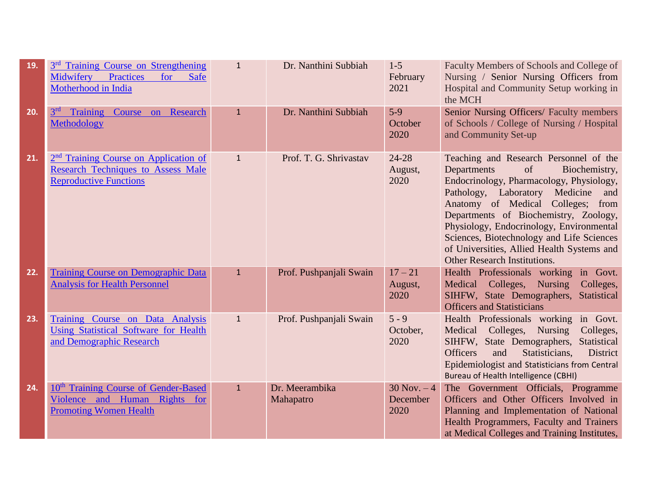| 19. | 3 <sup>rd</sup> Training Course on Strengthening<br>Midwifery<br>Practices<br>for<br><b>Safe</b><br>Motherhood in India         | $\mathbf{1}$ | Dr. Nanthini Subbiah        | $1 - 5$<br>February<br>2021        | Faculty Members of Schools and College of<br>Nursing / Senior Nursing Officers from<br>Hospital and Community Setup working in<br>the MCH                                                                                                                                                                                                                                                                                 |
|-----|---------------------------------------------------------------------------------------------------------------------------------|--------------|-----------------------------|------------------------------------|---------------------------------------------------------------------------------------------------------------------------------------------------------------------------------------------------------------------------------------------------------------------------------------------------------------------------------------------------------------------------------------------------------------------------|
| 20. | 3 <sup>rd</sup><br><b>Training</b><br>Course on Research<br>Methodology                                                         | $\mathbf{1}$ | Dr. Nanthini Subbiah        | $5-9$<br>October<br>2020           | Senior Nursing Officers/ Faculty members<br>of Schools / College of Nursing / Hospital<br>and Community Set-up                                                                                                                                                                                                                                                                                                            |
| 21. | 2 <sup>nd</sup> Training Course on Application of<br><b>Research Techniques to Assess Male</b><br><b>Reproductive Functions</b> | $\mathbf{1}$ | Prof. T. G. Shrivastav      | 24-28<br>August,<br>2020           | Teaching and Research Personnel of the<br>Departments<br>of<br>Biochemistry,<br>Endocrinology, Pharmacology, Physiology,<br>Pathology, Laboratory<br>Medicine<br>and<br>Anatomy of Medical Colleges; from<br>Departments of Biochemistry, Zoology,<br>Physiology, Endocrinology, Environmental<br>Sciences, Biotechnology and Life Sciences<br>of Universities, Allied Health Systems and<br>Other Research Institutions. |
| 22. | <b>Training Course on Demographic Data</b><br><b>Analysis for Health Personnel</b>                                              | $\mathbf{1}$ | Prof. Pushpanjali Swain     | $17 - 21$<br>August,<br>2020       | Health Professionals working in Govt.<br>Medical Colleges, Nursing<br>Colleges,<br>SIHFW, State Demographers, Statistical<br><b>Officers and Statisticians</b>                                                                                                                                                                                                                                                            |
| 23. | Training Course on Data Analysis<br><b>Using Statistical Software for Health</b><br>and Demographic Research                    | $\mathbf{1}$ | Prof. Pushpanjali Swain     | $5 - 9$<br>October,<br>2020        | Health Professionals working in Govt.<br>Medical Colleges, Nursing<br>Colleges,<br>SIHFW, State Demographers, Statistical<br>District<br><b>Officers</b><br>and<br>Statisticians,<br>Epidemiologist and Statisticians from Central<br><b>Bureau of Health Intelligence (CBHI)</b>                                                                                                                                         |
| 24. | 10 <sup>th</sup> Training Course of Gender-Based<br>Violence and Human Rights for<br><b>Promoting Women Health</b>              | $\mathbf{1}$ | Dr. Meerambika<br>Mahapatro | $30$ Nov. $-4$<br>December<br>2020 | The Government Officials, Programme<br>Officers and Other Officers Involved in<br>Planning and Implementation of National<br>Health Programmers, Faculty and Trainers<br>at Medical Colleges and Training Institutes,                                                                                                                                                                                                     |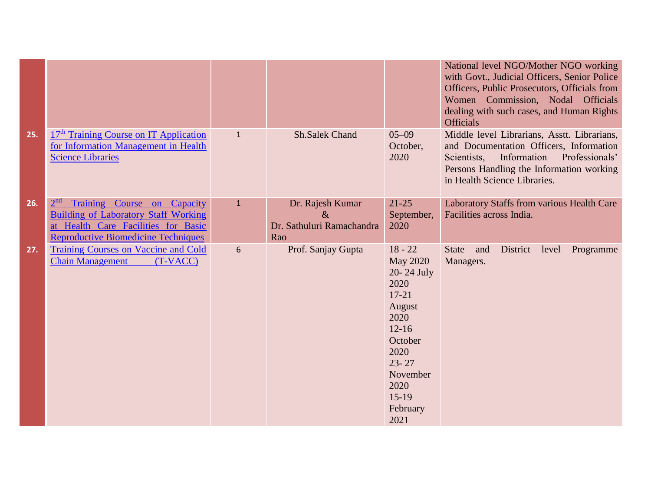|     |                                                                                                                                                                                    |              |                                                              |                                                                                                                                                                                   | National level NGO/Mother NGO working<br>with Govt., Judicial Officers, Senior Police<br>Officers, Public Prosecutors, Officials from<br>Women Commission, Nodal Officials<br>dealing with such cases, and Human Rights<br><b>Officials</b> |
|-----|------------------------------------------------------------------------------------------------------------------------------------------------------------------------------------|--------------|--------------------------------------------------------------|-----------------------------------------------------------------------------------------------------------------------------------------------------------------------------------|---------------------------------------------------------------------------------------------------------------------------------------------------------------------------------------------------------------------------------------------|
| 25. | 17 <sup>th</sup> Training Course on IT Application<br>for Information Management in Health<br><b>Science Libraries</b>                                                             | $\mathbf{1}$ | <b>Sh.Salek Chand</b>                                        | $05 - 09$<br>October,<br>2020                                                                                                                                                     | Middle level Librarians, Asstt. Librarians,<br>and Documentation Officers, Information<br>Information<br>Professionals'<br>Scientists,<br>Persons Handling the Information working<br>in Health Science Libraries.                          |
| 26. | 2 <sup>nd</sup><br>Training Course on Capacity<br><b>Building of Laboratory Staff Working</b><br>at Health Care Facilities for Basic<br><b>Reproductive Biomedicine Techniques</b> | $\mathbf{1}$ | Dr. Rajesh Kumar<br>$\&$<br>Dr. Sathuluri Ramachandra<br>Rao | $21 - 25$<br>September,<br>2020                                                                                                                                                   | Laboratory Staffs from various Health Care<br>Facilities across India.                                                                                                                                                                      |
| 27. | Training Courses on Vaccine and Cold<br><b>Chain Management</b><br>(T-VACC)                                                                                                        | 6            | Prof. Sanjay Gupta                                           | $18 - 22$<br><b>May 2020</b><br>20-24 July<br>2020<br>$17 - 21$<br>August<br>2020<br>$12 - 16$<br>October<br>2020<br>$23 - 27$<br>November<br>2020<br>$15-19$<br>February<br>2021 | <b>State</b><br>and<br>District<br>level Programme<br>Managers.                                                                                                                                                                             |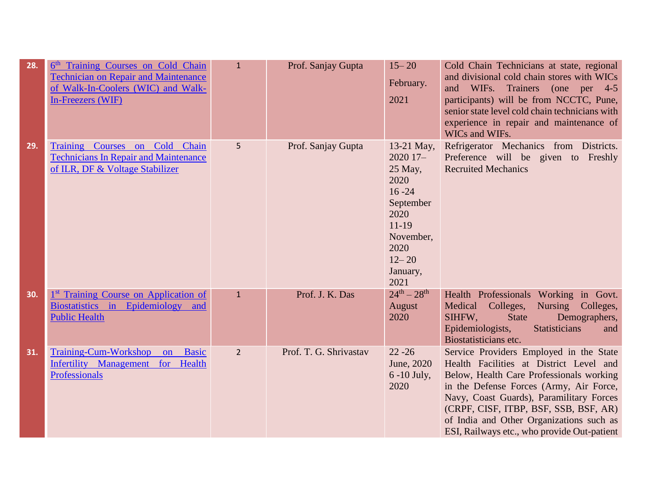| 28. | 6 <sup>th</sup> Training Courses on Cold Chain<br><b>Technician on Repair and Maintenance</b><br>of Walk-In-Coolers (WIC) and Walk-<br>In-Freezers (WIF) | $\mathbf{1}$   | Prof. Sanjay Gupta     | $15 - 20$<br>February.<br>2021                                                                                                                   | Cold Chain Technicians at state, regional<br>and divisional cold chain stores with WICs<br>and WIFs. Trainers (one per 4-5<br>participants) will be from NCCTC, Pune,<br>senior state level cold chain technicians with<br>experience in repair and maintenance of<br>WICs and WIFs.                                                                      |
|-----|----------------------------------------------------------------------------------------------------------------------------------------------------------|----------------|------------------------|--------------------------------------------------------------------------------------------------------------------------------------------------|-----------------------------------------------------------------------------------------------------------------------------------------------------------------------------------------------------------------------------------------------------------------------------------------------------------------------------------------------------------|
| 29. | Training Courses on Cold Chain<br><b>Technicians In Repair and Maintenance</b><br>of ILR, DF & Voltage Stabilizer                                        | 5              | Prof. Sanjay Gupta     | $13-21$ May,<br>2020 17-<br>$25$ May,<br>2020<br>$16 - 24$<br>September<br>2020<br>$11-19$<br>November,<br>2020<br>$12 - 20$<br>January,<br>2021 | Refrigerator Mechanics from Districts.<br>Preference will be given to Freshly<br><b>Recruited Mechanics</b>                                                                                                                                                                                                                                               |
| 30. | <sup>1st</sup> Training Course on Application of<br>Biostatistics in Epidemiology and<br><b>Public Health</b>                                            | $\mathbf{1}$   | Prof. J. K. Das        | $24^{th} - 28^{th}$<br>August<br>2020                                                                                                            | Health Professionals Working in Govt.<br>Medical Colleges, Nursing Colleges,<br>SIHFW,<br><b>State</b><br>Demographers,<br>Epidemiologists,<br><b>Statisticians</b><br>and<br>Biostatisticians etc.                                                                                                                                                       |
| 31. | <b>Training-Cum-Workshop</b><br><b>Basic</b><br>on<br>Infertility Management<br>for Health<br><b>Professionals</b>                                       | $\overline{2}$ | Prof. T. G. Shrivastav | $22 - 26$<br>June, 2020<br>$6 - 10$ July,<br>2020                                                                                                | Service Providers Employed in the State<br>Health Facilities at District Level and<br>Below, Health Care Professionals working<br>in the Defense Forces (Army, Air Force,<br>Navy, Coast Guards), Paramilitary Forces<br>(CRPF, CISF, ITBP, BSF, SSB, BSF, AR)<br>of India and Other Organizations such as<br>ESI, Railways etc., who provide Out-patient |